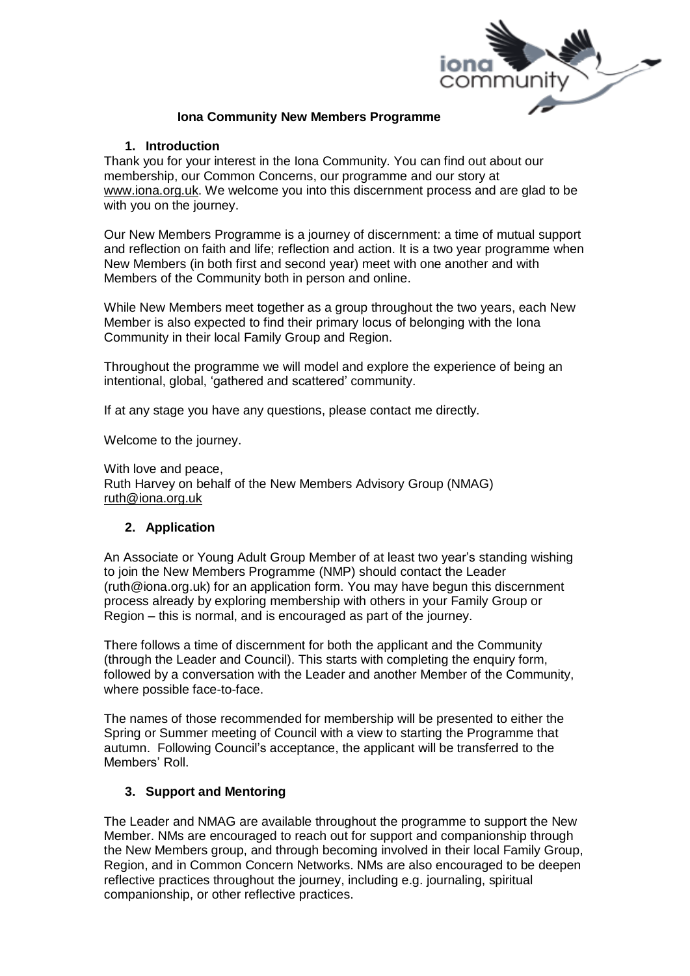

### **Iona Community New Members Programme**

### **1. Introduction**

Thank you for your interest in the Iona Community. You can find out about our membership, our Common Concerns, our programme and our story at [www.iona.org.uk.](http://www.iona.org.uk/) We welcome you into this discernment process and are glad to be with you on the journey.

Our New Members Programme is a journey of discernment: a time of mutual support and reflection on faith and life; reflection and action. It is a two year programme when New Members (in both first and second year) meet with one another and with Members of the Community both in person and online.

While New Members meet together as a group throughout the two years, each New Member is also expected to find their primary locus of belonging with the Iona Community in their local Family Group and Region.

Throughout the programme we will model and explore the experience of being an intentional, global, 'gathered and scattered' community.

If at any stage you have any questions, please contact me directly.

Welcome to the journey.

With love and peace, Ruth Harvey on behalf of the New Members Advisory Group (NMAG) [ruth@iona.org.uk](mailto:ruth@iona.org.uk)

# **2. Application**

An Associate or Young Adult Group Member of at least two year's standing wishing to join the New Members Programme (NMP) should contact the Leader (ruth@iona.org.uk) for an application form. You may have begun this discernment process already by exploring membership with others in your Family Group or Region – this is normal, and is encouraged as part of the journey.

There follows a time of discernment for both the applicant and the Community (through the Leader and Council). This starts with completing the enquiry form, followed by a conversation with the Leader and another Member of the Community, where possible face-to-face.

The names of those recommended for membership will be presented to either the Spring or Summer meeting of Council with a view to starting the Programme that autumn. Following Council's acceptance, the applicant will be transferred to the Members' Roll.

# **3. Support and Mentoring**

The Leader and NMAG are available throughout the programme to support the New Member. NMs are encouraged to reach out for support and companionship through the New Members group, and through becoming involved in their local Family Group, Region, and in Common Concern Networks. NMs are also encouraged to be deepen reflective practices throughout the journey, including e.g. journaling, spiritual companionship, or other reflective practices.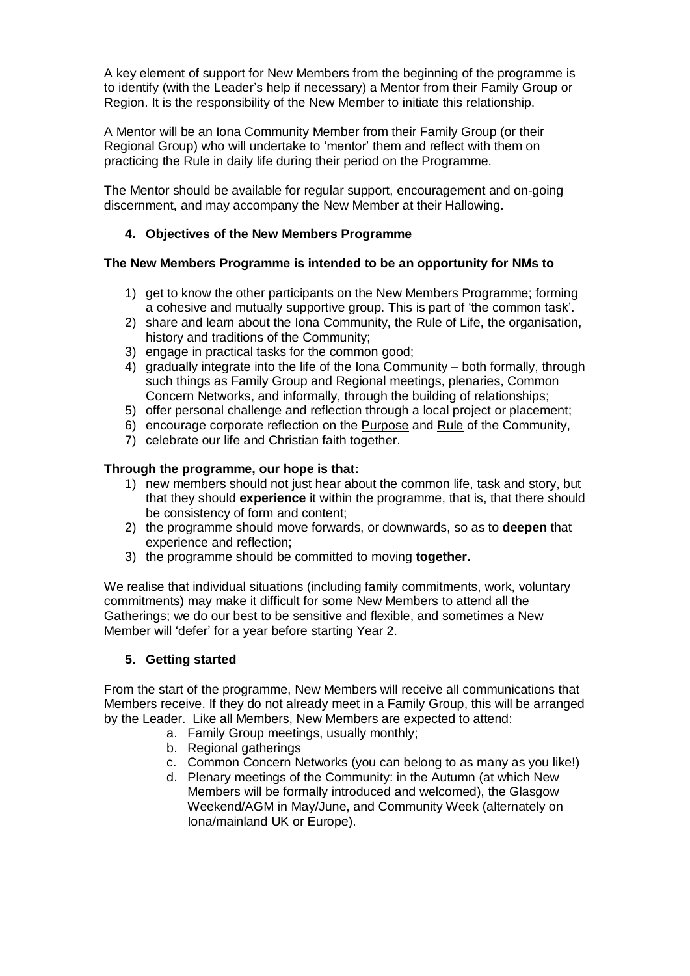A key element of support for New Members from the beginning of the programme is to identify (with the Leader's help if necessary) a Mentor from their Family Group or Region. It is the responsibility of the New Member to initiate this relationship.

A Mentor will be an Iona Community Member from their Family Group (or their Regional Group) who will undertake to 'mentor' them and reflect with them on practicing the Rule in daily life during their period on the Programme.

The Mentor should be available for regular support, encouragement and on-going discernment, and may accompany the New Member at their Hallowing.

# **4. Objectives of the New Members Programme**

### **The New Members Programme is intended to be an opportunity for NMs to**

- 1) get to know the other participants on the New Members Programme; forming a cohesive and mutually supportive group. This is part of 'the common task'.
- 2) share and learn about the Iona Community, the Rule of Life, the organisation, history and traditions of the Community;
- 3) engage in practical tasks for the common good;
- 4) gradually integrate into the life of the Iona Community both formally, through such things as Family Group and Regional meetings, plenaries, Common Concern Networks, and informally, through the building of relationships;
- 5) offer personal challenge and reflection through a local project or placement;
- 6) encourage corporate reflection on the [Purpose](https://iona.org.uk/about/our-vision-and-values/) and [Rule](https://iona.org.uk/about/our-community/our-rule/) of the Community,
- 7) celebrate our life and Christian faith together.

### **Through the programme, our hope is that:**

- 1) new members should not just hear about the common life, task and story, but that they should **experience** it within the programme, that is, that there should be consistency of form and content;
- 2) the programme should move forwards, or downwards, so as to **deepen** that experience and reflection;
- 3) the programme should be committed to moving **together.**

We realise that individual situations (including family commitments, work, voluntary commitments) may make it difficult for some New Members to attend all the Gatherings; we do our best to be sensitive and flexible, and sometimes a New Member will 'defer' for a year before starting Year 2.

### **5. Getting started**

From the start of the programme, New Members will receive all communications that Members receive. If they do not already meet in a Family Group, this will be arranged by the Leader. Like all Members, New Members are expected to attend:

- a. Family Group meetings, usually monthly;
- b. Regional gatherings
- c. Common Concern Networks (you can belong to as many as you like!)
- d. Plenary meetings of the Community: in the Autumn (at which New Members will be formally introduced and welcomed), the Glasgow Weekend/AGM in May/June, and Community Week (alternately on Iona/mainland UK or Europe).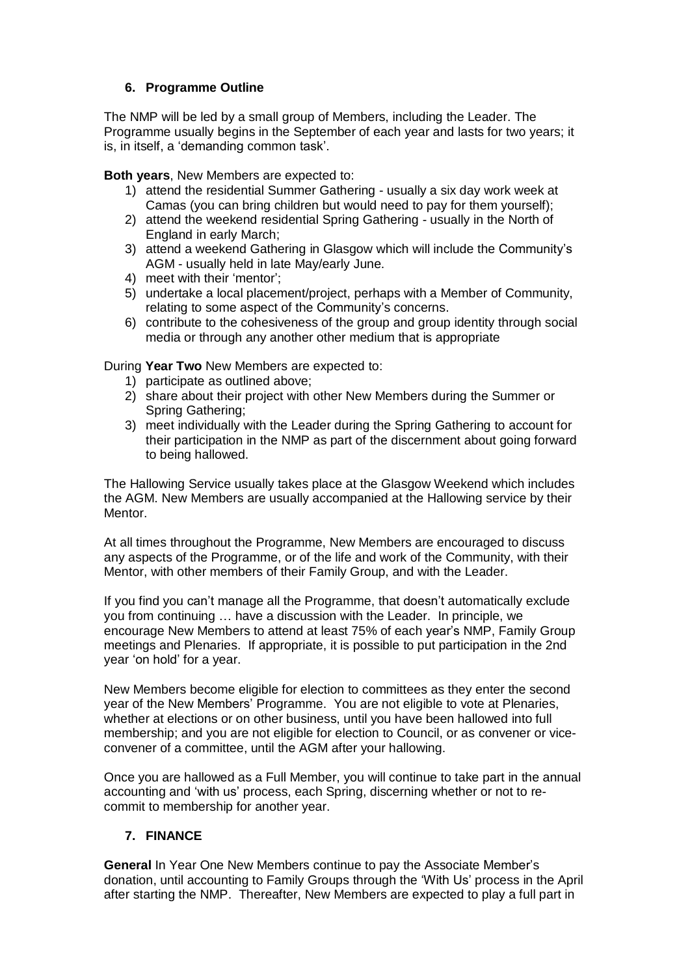### **6. Programme Outline**

The NMP will be led by a small group of Members, including the Leader. The Programme usually begins in the September of each year and lasts for two years; it is, in itself, a 'demanding common task'.

**Both years**, New Members are expected to:

- 1) attend the residential Summer Gathering usually a six day work week at Camas (you can bring children but would need to pay for them yourself);
- 2) attend the weekend residential Spring Gathering usually in the North of England in early March;
- 3) attend a weekend Gathering in Glasgow which will include the Community's AGM - usually held in late May/early June.
- 4) meet with their 'mentor';
- 5) undertake a local placement/project, perhaps with a Member of Community, relating to some aspect of the Community's concerns.
- 6) contribute to the cohesiveness of the group and group identity through social media or through any another other medium that is appropriate

During **Year Two** New Members are expected to:

- 1) participate as outlined above;
- 2) share about their project with other New Members during the Summer or Spring Gathering;
- 3) meet individually with the Leader during the Spring Gathering to account for their participation in the NMP as part of the discernment about going forward to being hallowed.

The Hallowing Service usually takes place at the Glasgow Weekend which includes the AGM. New Members are usually accompanied at the Hallowing service by their Mentor.

At all times throughout the Programme, New Members are encouraged to discuss any aspects of the Programme, or of the life and work of the Community, with their Mentor, with other members of their Family Group, and with the Leader.

If you find you can't manage all the Programme, that doesn't automatically exclude you from continuing … have a discussion with the Leader. In principle, we encourage New Members to attend at least 75% of each year's NMP, Family Group meetings and Plenaries. If appropriate, it is possible to put participation in the 2nd year 'on hold' for a year.

New Members become eligible for election to committees as they enter the second year of the New Members' Programme. You are not eligible to vote at Plenaries, whether at elections or on other business, until you have been hallowed into full membership; and you are not eligible for election to Council, or as convener or viceconvener of a committee, until the AGM after your hallowing.

Once you are hallowed as a Full Member, you will continue to take part in the annual accounting and 'with us' process, each Spring, discerning whether or not to recommit to membership for another year.

### **7. FINANCE**

**General** In Year One New Members continue to pay the Associate Member's donation, until accounting to Family Groups through the 'With Us' process in the April after starting the NMP. Thereafter, New Members are expected to play a full part in